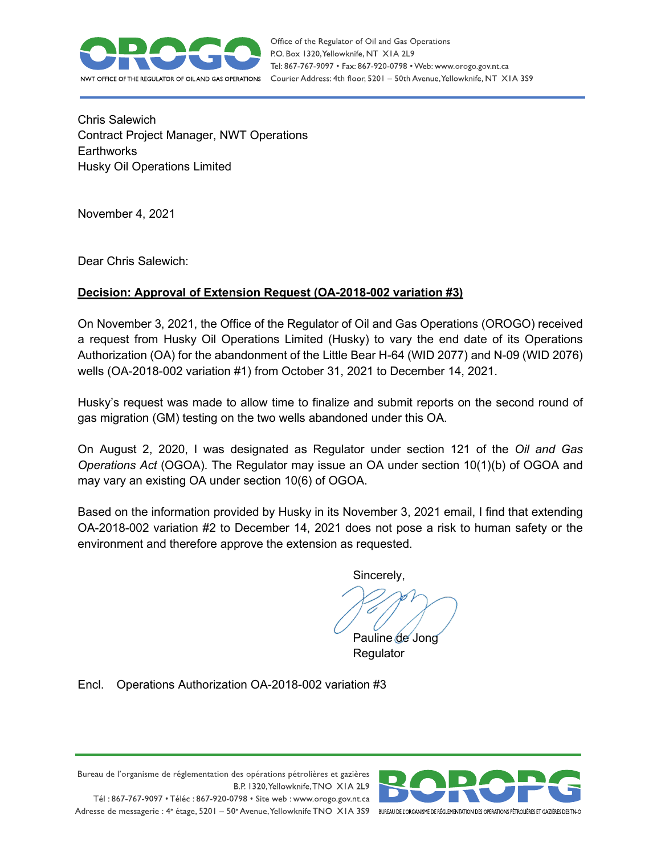

Chris Salewich Contract Project Manager, NWT Operations **Earthworks** Husky Oil Operations Limited

November 4, 2021

Dear Chris Salewich:

## **Decision: Approval of Extension Request (OA-2018-002 variation #3)**

On November 3, 2021, the Office of the Regulator of Oil and Gas Operations (OROGO) received a request from Husky Oil Operations Limited (Husky) to vary the end date of its Operations Authorization (OA) for the abandonment of the Little Bear H-64 (WID 2077) and N-09 (WID 2076) wells (OA-2018-002 variation #1) from October 31, 2021 to December 14, 2021.

Husky's request was made to allow time to finalize and submit reports on the second round of gas migration (GM) testing on the two wells abandoned under this OA.

On August 2, 2020, I was designated as Regulator under section 121 of the *Oil and Gas Operations Act* (OGOA). The Regulator may issue an OA under section 10(1)(b) of OGOA and may vary an existing OA under section 10(6) of OGOA.

Based on the information provided by Husky in its November 3, 2021 email, I find that extending OA-2018-002 variation #2 to December 14, 2021 does not pose a risk to human safety or the environment and therefore approve the extension as requested.

Sincerely,

Pauline de Jong Regulator

Encl. Operations Authorization OA-2018-002 variation #3



B.P. 1320, Yellowknife, TNO XIA 2L9 Tél: 867-767-9097 • Téléc: 867-920-0798 • Site web: www.orogo.gov.nt.ca

Bureau de l'organisme de réglementation des opérations pétrolières et gazières

Adresse de messagerie : 4° étage, 5201 - 50° Avenue, Yellowknife TNO XIA 3S9 BUREAU DE LORGANISME DE RÉGLEMENTATION DES OPERATIONS PÉTROLIÈRES ET GAZIÈRES DESTNO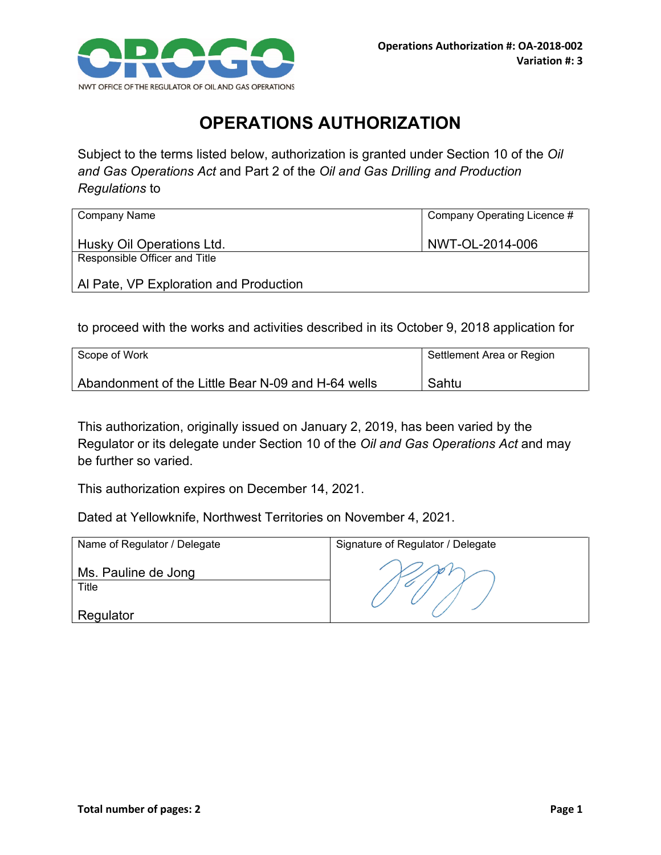

## **OPERATIONS AUTHORIZATION**

Subject to the terms listed below, authorization is granted under Section 10 of the *Oil and Gas Operations Act* and Part 2 of the *Oil and Gas Drilling and Production Regulations* to

| Company Name                           | Company Operating Licence # |
|----------------------------------------|-----------------------------|
| Husky Oil Operations Ltd.              | NWT-OL-2014-006             |
| Responsible Officer and Title          |                             |
| Al Pate, VP Exploration and Production |                             |

to proceed with the works and activities described in its October 9, 2018 application for

| Scope of Work                                      | Settlement Area or Region |
|----------------------------------------------------|---------------------------|
| Abandonment of the Little Bear N-09 and H-64 wells | Sahtu                     |

This authorization, originally issued on January 2, 2019, has been varied by the Regulator or its delegate under Section 10 of the *Oil and Gas Operations Act* and may be further so varied.

This authorization expires on December 14, 2021.

Dated at Yellowknife, Northwest Territories on November 4, 2021.

| Name of Regulator / Delegate | Signature of Regulator / Delegate |
|------------------------------|-----------------------------------|
| Ms. Pauline de Jong<br>Title |                                   |
| Regulator                    |                                   |